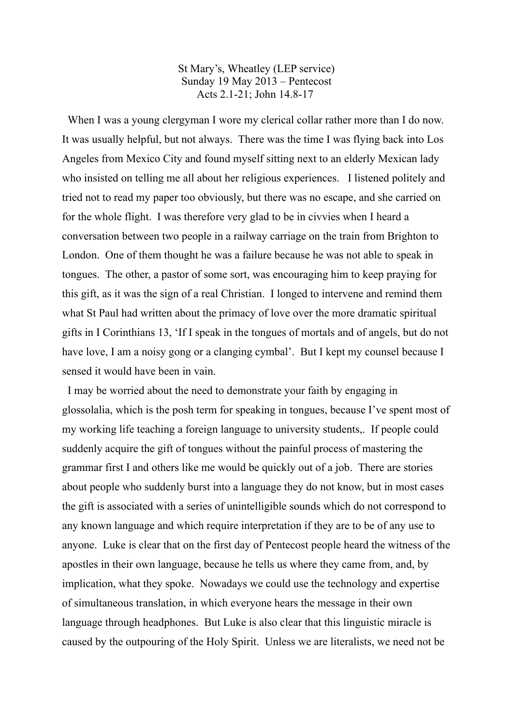St Mary's, Wheatley (LEP service) Sunday 19 May 2013 – Pentecost Acts 2.1-21; John 14.8-17

When I was a young clergyman I wore my clerical collar rather more than I do now. It was usually helpful, but not always. There was the time I was flying back into Los Angeles from Mexico City and found myself sitting next to an elderly Mexican lady who insisted on telling me all about her religious experiences. I listened politely and tried not to read my paper too obviously, but there was no escape, and she carried on for the whole flight. I was therefore very glad to be in civvies when I heard a conversation between two people in a railway carriage on the train from Brighton to London. One of them thought he was a failure because he was not able to speak in tongues. The other, a pastor of some sort, was encouraging him to keep praying for this gift, as it was the sign of a real Christian. I longed to intervene and remind them what St Paul had written about the primacy of love over the more dramatic spiritual gifts in I Corinthians 13, 'If I speak in the tongues of mortals and of angels, but do not have love, I am a noisy gong or a clanging cymbal'. But I kept my counsel because I sensed it would have been in vain.

 I may be worried about the need to demonstrate your faith by engaging in glossolalia, which is the posh term for speaking in tongues, because I've spent most of my working life teaching a foreign language to university students,. If people could suddenly acquire the gift of tongues without the painful process of mastering the grammar first I and others like me would be quickly out of a job. There are stories about people who suddenly burst into a language they do not know, but in most cases the gift is associated with a series of unintelligible sounds which do not correspond to any known language and which require interpretation if they are to be of any use to anyone. Luke is clear that on the first day of Pentecost people heard the witness of the apostles in their own language, because he tells us where they came from, and, by implication, what they spoke. Nowadays we could use the technology and expertise of simultaneous translation, in which everyone hears the message in their own language through headphones. But Luke is also clear that this linguistic miracle is caused by the outpouring of the Holy Spirit. Unless we are literalists, we need not be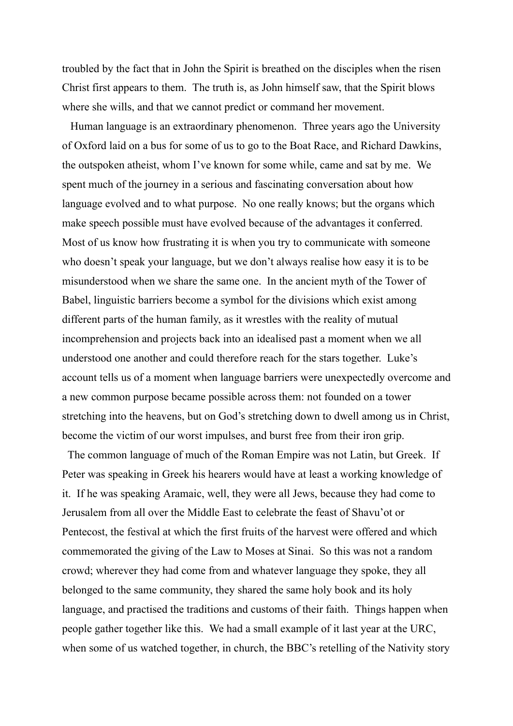troubled by the fact that in John the Spirit is breathed on the disciples when the risen Christ first appears to them. The truth is, as John himself saw, that the Spirit blows where she wills, and that we cannot predict or command her movement.

 Human language is an extraordinary phenomenon. Three years ago the University of Oxford laid on a bus for some of us to go to the Boat Race, and Richard Dawkins, the outspoken atheist, whom I've known for some while, came and sat by me. We spent much of the journey in a serious and fascinating conversation about how language evolved and to what purpose. No one really knows; but the organs which make speech possible must have evolved because of the advantages it conferred. Most of us know how frustrating it is when you try to communicate with someone who doesn't speak your language, but we don't always realise how easy it is to be misunderstood when we share the same one. In the ancient myth of the Tower of Babel, linguistic barriers become a symbol for the divisions which exist among different parts of the human family, as it wrestles with the reality of mutual incomprehension and projects back into an idealised past a moment when we all understood one another and could therefore reach for the stars together. Luke's account tells us of a moment when language barriers were unexpectedly overcome and a new common purpose became possible across them: not founded on a tower stretching into the heavens, but on God's stretching down to dwell among us in Christ, become the victim of our worst impulses, and burst free from their iron grip.

 The common language of much of the Roman Empire was not Latin, but Greek. If Peter was speaking in Greek his hearers would have at least a working knowledge of it. If he was speaking Aramaic, well, they were all Jews, because they had come to Jerusalem from all over the Middle East to celebrate the feast of Shavu'ot or Pentecost, the festival at which the first fruits of the harvest were offered and which commemorated the giving of the Law to Moses at Sinai. So this was not a random crowd; wherever they had come from and whatever language they spoke, they all belonged to the same community, they shared the same holy book and its holy language, and practised the traditions and customs of their faith. Things happen when people gather together like this. We had a small example of it last year at the URC, when some of us watched together, in church, the BBC's retelling of the Nativity story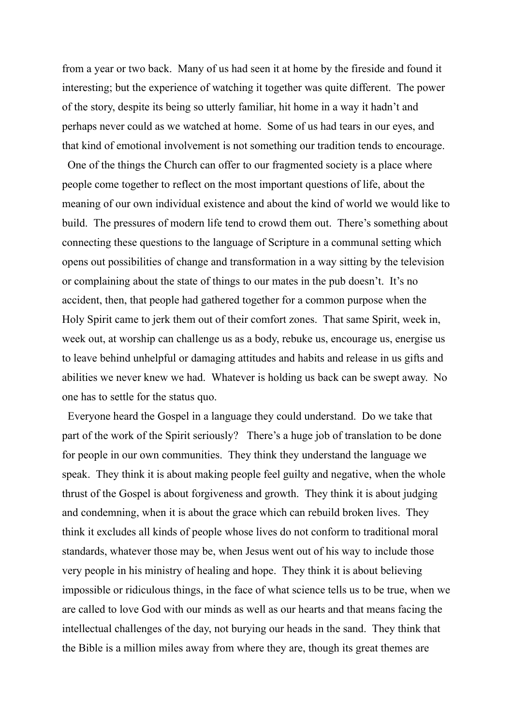from a year or two back. Many of us had seen it at home by the fireside and found it interesting; but the experience of watching it together was quite different. The power of the story, despite its being so utterly familiar, hit home in a way it hadn't and perhaps never could as we watched at home. Some of us had tears in our eyes, and that kind of emotional involvement is not something our tradition tends to encourage.

 One of the things the Church can offer to our fragmented society is a place where people come together to reflect on the most important questions of life, about the meaning of our own individual existence and about the kind of world we would like to build. The pressures of modern life tend to crowd them out. There's something about connecting these questions to the language of Scripture in a communal setting which opens out possibilities of change and transformation in a way sitting by the television or complaining about the state of things to our mates in the pub doesn't. It's no accident, then, that people had gathered together for a common purpose when the Holy Spirit came to jerk them out of their comfort zones. That same Spirit, week in, week out, at worship can challenge us as a body, rebuke us, encourage us, energise us to leave behind unhelpful or damaging attitudes and habits and release in us gifts and abilities we never knew we had. Whatever is holding us back can be swept away. No one has to settle for the status quo.

 Everyone heard the Gospel in a language they could understand. Do we take that part of the work of the Spirit seriously? There's a huge job of translation to be done for people in our own communities. They think they understand the language we speak. They think it is about making people feel guilty and negative, when the whole thrust of the Gospel is about forgiveness and growth. They think it is about judging and condemning, when it is about the grace which can rebuild broken lives. They think it excludes all kinds of people whose lives do not conform to traditional moral standards, whatever those may be, when Jesus went out of his way to include those very people in his ministry of healing and hope. They think it is about believing impossible or ridiculous things, in the face of what science tells us to be true, when we are called to love God with our minds as well as our hearts and that means facing the intellectual challenges of the day, not burying our heads in the sand. They think that the Bible is a million miles away from where they are, though its great themes are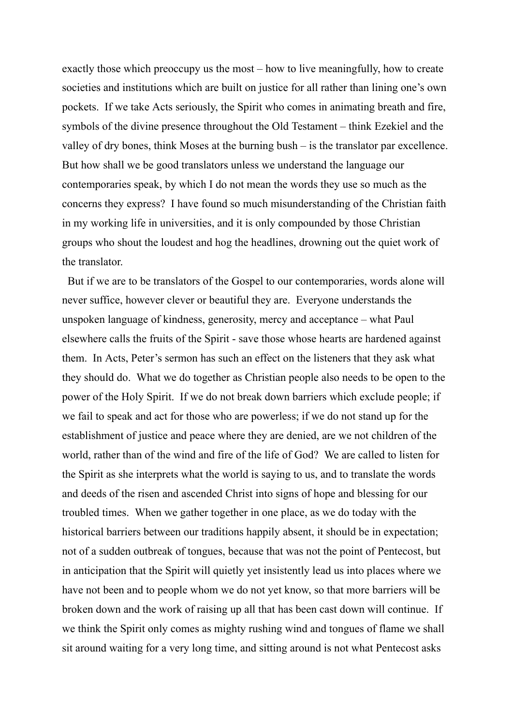exactly those which preoccupy us the most – how to live meaningfully, how to create societies and institutions which are built on justice for all rather than lining one's own pockets. If we take Acts seriously, the Spirit who comes in animating breath and fire, symbols of the divine presence throughout the Old Testament – think Ezekiel and the valley of dry bones, think Moses at the burning bush – is the translator par excellence. But how shall we be good translators unless we understand the language our contemporaries speak, by which I do not mean the words they use so much as the concerns they express? I have found so much misunderstanding of the Christian faith in my working life in universities, and it is only compounded by those Christian groups who shout the loudest and hog the headlines, drowning out the quiet work of the translator.

 But if we are to be translators of the Gospel to our contemporaries, words alone will never suffice, however clever or beautiful they are. Everyone understands the unspoken language of kindness, generosity, mercy and acceptance – what Paul elsewhere calls the fruits of the Spirit - save those whose hearts are hardened against them. In Acts, Peter's sermon has such an effect on the listeners that they ask what they should do. What we do together as Christian people also needs to be open to the power of the Holy Spirit. If we do not break down barriers which exclude people; if we fail to speak and act for those who are powerless; if we do not stand up for the establishment of justice and peace where they are denied, are we not children of the world, rather than of the wind and fire of the life of God? We are called to listen for the Spirit as she interprets what the world is saying to us, and to translate the words and deeds of the risen and ascended Christ into signs of hope and blessing for our troubled times. When we gather together in one place, as we do today with the historical barriers between our traditions happily absent, it should be in expectation; not of a sudden outbreak of tongues, because that was not the point of Pentecost, but in anticipation that the Spirit will quietly yet insistently lead us into places where we have not been and to people whom we do not yet know, so that more barriers will be broken down and the work of raising up all that has been cast down will continue. If we think the Spirit only comes as mighty rushing wind and tongues of flame we shall sit around waiting for a very long time, and sitting around is not what Pentecost asks